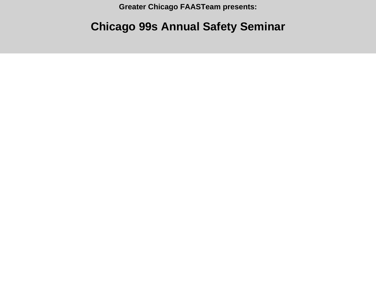**Greater Chicago FAASTeam presents:**

## **Chicago 99s Annual Safety Seminar**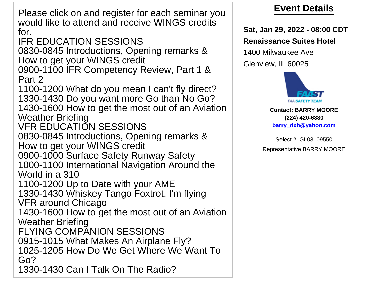Please click on and register for each seminar you would like to attend and receive WINGS credits for.

IFR EDUCATION SESSIONS

0830-0845 Introductions, Opening remarks & How to get your WINGS credit

0900-1100 IFR Competency Review, Part 1 & Part 2

1100-1200 What do you mean I can't fly direct? 1330-1430 Do you want more Go than No Go? 1430-1600 How to get the most out of an Aviation

Weather Briefing

VFR EDUCATION SESSIONS

0830-0845 Introductions, Opening remarks & How to get your WINGS credit

0900-1000 Surface Safety Runway Safety 1000-1100 International Navigation Around the World in a 310

1100-1200 Up to Date with your AME 1330-1430 Whiskey Tango Foxtrot, I'm flying VFR around Chicago

1430-1600 How to get the most out of an Aviation Weather Briefing

FLYING COMPANION SESSIONS

0915-1015 What Makes An Airplane Fly?

1025-1205 How Do We Get Where We Want To Go?

1330-1430 Can I Talk On The Radio?

## **Event Details**

**Sat, Jan 29, 2022 - 08:00 CDT Renaissance Suites Hotel**

1400 Milwaukee Ave Glenview, IL 60025



## **Contact: BARRY MOORE (224) 420-6880 barry\_dxb@yahoo.com**

Select #: GL03109550 Representative BARRY MOORE